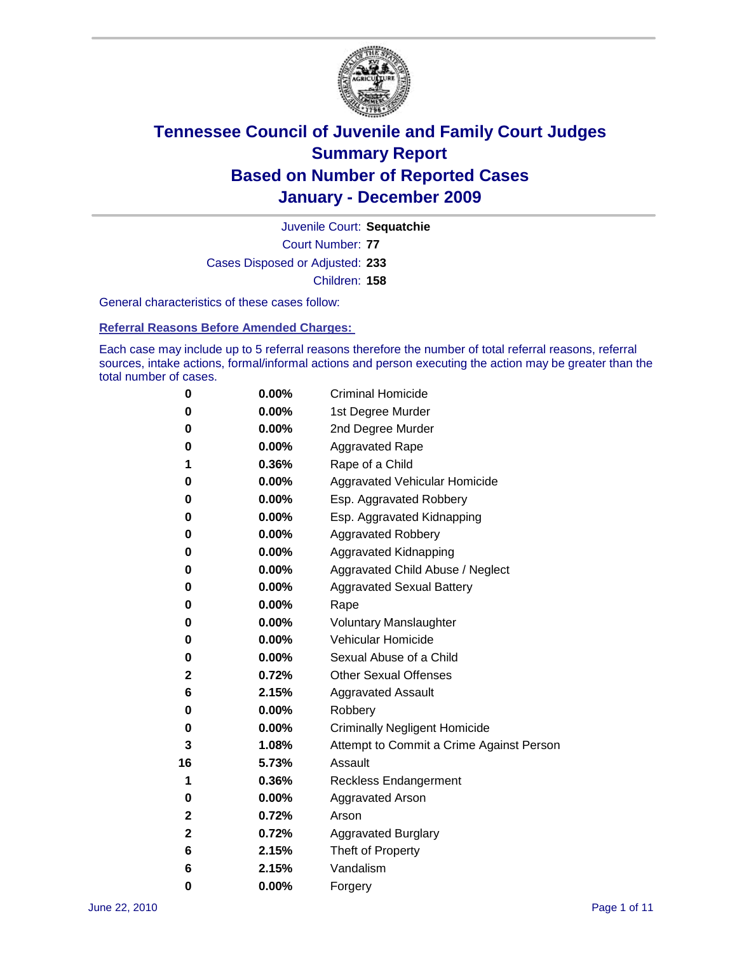

Court Number: **77** Juvenile Court: **Sequatchie** Cases Disposed or Adjusted: **233** Children: **158**

General characteristics of these cases follow:

**Referral Reasons Before Amended Charges:** 

Each case may include up to 5 referral reasons therefore the number of total referral reasons, referral sources, intake actions, formal/informal actions and person executing the action may be greater than the total number of cases.

| 0  | 0.00%    | <b>Criminal Homicide</b>                 |
|----|----------|------------------------------------------|
| 0  | 0.00%    | 1st Degree Murder                        |
| 0  | 0.00%    | 2nd Degree Murder                        |
| 0  | 0.00%    | <b>Aggravated Rape</b>                   |
| 1  | 0.36%    | Rape of a Child                          |
| 0  | 0.00%    | Aggravated Vehicular Homicide            |
| 0  | 0.00%    | Esp. Aggravated Robbery                  |
| 0  | 0.00%    | Esp. Aggravated Kidnapping               |
| 0  | 0.00%    | <b>Aggravated Robbery</b>                |
| 0  | 0.00%    | Aggravated Kidnapping                    |
| 0  | 0.00%    | Aggravated Child Abuse / Neglect         |
| 0  | $0.00\%$ | <b>Aggravated Sexual Battery</b>         |
| 0  | 0.00%    | Rape                                     |
| 0  | $0.00\%$ | <b>Voluntary Manslaughter</b>            |
| 0  | 0.00%    | Vehicular Homicide                       |
| 0  | 0.00%    | Sexual Abuse of a Child                  |
| 2  | 0.72%    | <b>Other Sexual Offenses</b>             |
| 6  | 2.15%    | <b>Aggravated Assault</b>                |
| 0  | $0.00\%$ | Robbery                                  |
| 0  | 0.00%    | <b>Criminally Negligent Homicide</b>     |
| 3  | 1.08%    | Attempt to Commit a Crime Against Person |
| 16 | 5.73%    | Assault                                  |
| 1  | 0.36%    | <b>Reckless Endangerment</b>             |
| 0  | 0.00%    | <b>Aggravated Arson</b>                  |
| 2  | 0.72%    | Arson                                    |
| 2  | 0.72%    | <b>Aggravated Burglary</b>               |
| 6  | 2.15%    | Theft of Property                        |
| 6  | 2.15%    | Vandalism                                |
| 0  | 0.00%    | Forgery                                  |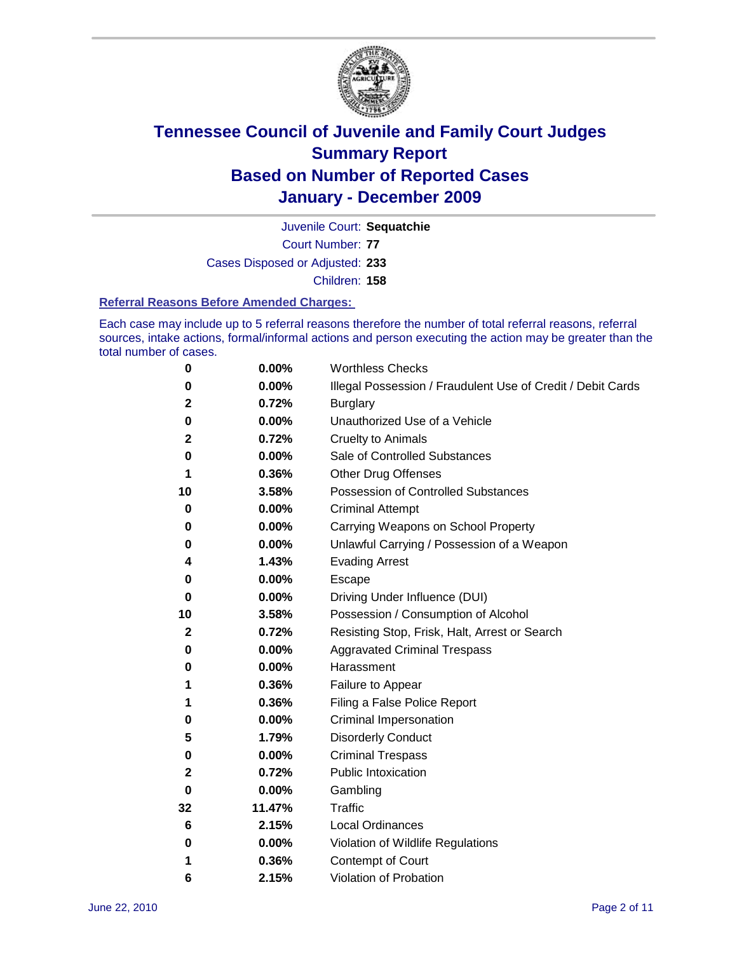

Court Number: **77** Juvenile Court: **Sequatchie** Cases Disposed or Adjusted: **233**

Children: **158**

#### **Referral Reasons Before Amended Charges:**

Each case may include up to 5 referral reasons therefore the number of total referral reasons, referral sources, intake actions, formal/informal actions and person executing the action may be greater than the total number of cases.

| 0            | 0.00%  | <b>Worthless Checks</b>                                     |
|--------------|--------|-------------------------------------------------------------|
| 0            | 0.00%  | Illegal Possession / Fraudulent Use of Credit / Debit Cards |
| $\mathbf{2}$ | 0.72%  | <b>Burglary</b>                                             |
| 0            | 0.00%  | Unauthorized Use of a Vehicle                               |
| $\mathbf{2}$ | 0.72%  | <b>Cruelty to Animals</b>                                   |
| 0            | 0.00%  | Sale of Controlled Substances                               |
| 1            | 0.36%  | <b>Other Drug Offenses</b>                                  |
| 10           | 3.58%  | Possession of Controlled Substances                         |
| 0            | 0.00%  | <b>Criminal Attempt</b>                                     |
| 0            | 0.00%  | Carrying Weapons on School Property                         |
| 0            | 0.00%  | Unlawful Carrying / Possession of a Weapon                  |
| 4            | 1.43%  | <b>Evading Arrest</b>                                       |
| 0            | 0.00%  | Escape                                                      |
| 0            | 0.00%  | Driving Under Influence (DUI)                               |
| 10           | 3.58%  | Possession / Consumption of Alcohol                         |
| 2            | 0.72%  | Resisting Stop, Frisk, Halt, Arrest or Search               |
| 0            | 0.00%  | <b>Aggravated Criminal Trespass</b>                         |
| 0            | 0.00%  | Harassment                                                  |
| 1            | 0.36%  | Failure to Appear                                           |
| 1            | 0.36%  | Filing a False Police Report                                |
| 0            | 0.00%  | Criminal Impersonation                                      |
| 5            | 1.79%  | <b>Disorderly Conduct</b>                                   |
| 0            | 0.00%  | <b>Criminal Trespass</b>                                    |
| 2            | 0.72%  | <b>Public Intoxication</b>                                  |
| 0            | 0.00%  | Gambling                                                    |
| 32           | 11.47% | Traffic                                                     |
| 6            | 2.15%  | <b>Local Ordinances</b>                                     |
| 0            | 0.00%  | Violation of Wildlife Regulations                           |
| 1            | 0.36%  | Contempt of Court                                           |
| 6            | 2.15%  | Violation of Probation                                      |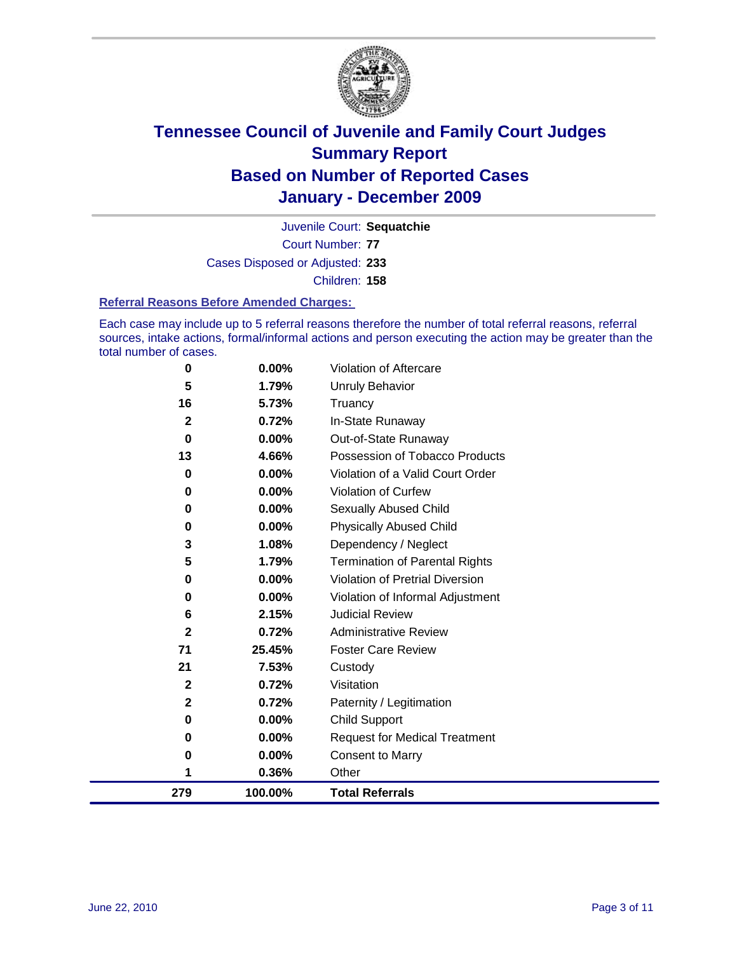

Court Number: **77** Juvenile Court: **Sequatchie** Cases Disposed or Adjusted: **233** Children: **158**

#### **Referral Reasons Before Amended Charges:**

Each case may include up to 5 referral reasons therefore the number of total referral reasons, referral sources, intake actions, formal/informal actions and person executing the action may be greater than the total number of cases.

| <b>Judicial Review</b><br><b>Administrative Review</b><br><b>Foster Care Review</b><br>Custody<br>Visitation<br>Paternity / Legitimation<br><b>Child Support</b><br><b>Request for Medical Treatment</b><br><b>Consent to Marry</b><br>Other |
|----------------------------------------------------------------------------------------------------------------------------------------------------------------------------------------------------------------------------------------------|
|                                                                                                                                                                                                                                              |
|                                                                                                                                                                                                                                              |
|                                                                                                                                                                                                                                              |
|                                                                                                                                                                                                                                              |
|                                                                                                                                                                                                                                              |
|                                                                                                                                                                                                                                              |
|                                                                                                                                                                                                                                              |
|                                                                                                                                                                                                                                              |
|                                                                                                                                                                                                                                              |
|                                                                                                                                                                                                                                              |
| Violation of Informal Adjustment                                                                                                                                                                                                             |
| <b>Violation of Pretrial Diversion</b>                                                                                                                                                                                                       |
| Termination of Parental Rights                                                                                                                                                                                                               |
| Dependency / Neglect                                                                                                                                                                                                                         |
| <b>Physically Abused Child</b>                                                                                                                                                                                                               |
| <b>Sexually Abused Child</b>                                                                                                                                                                                                                 |
| Violation of Curfew                                                                                                                                                                                                                          |
| Violation of a Valid Court Order                                                                                                                                                                                                             |
| Possession of Tobacco Products                                                                                                                                                                                                               |
| In-State Runaway<br>Out-of-State Runaway                                                                                                                                                                                                     |
| Truancy                                                                                                                                                                                                                                      |
| Unruly Behavior                                                                                                                                                                                                                              |
| Violation of Aftercare                                                                                                                                                                                                                       |
|                                                                                                                                                                                                                                              |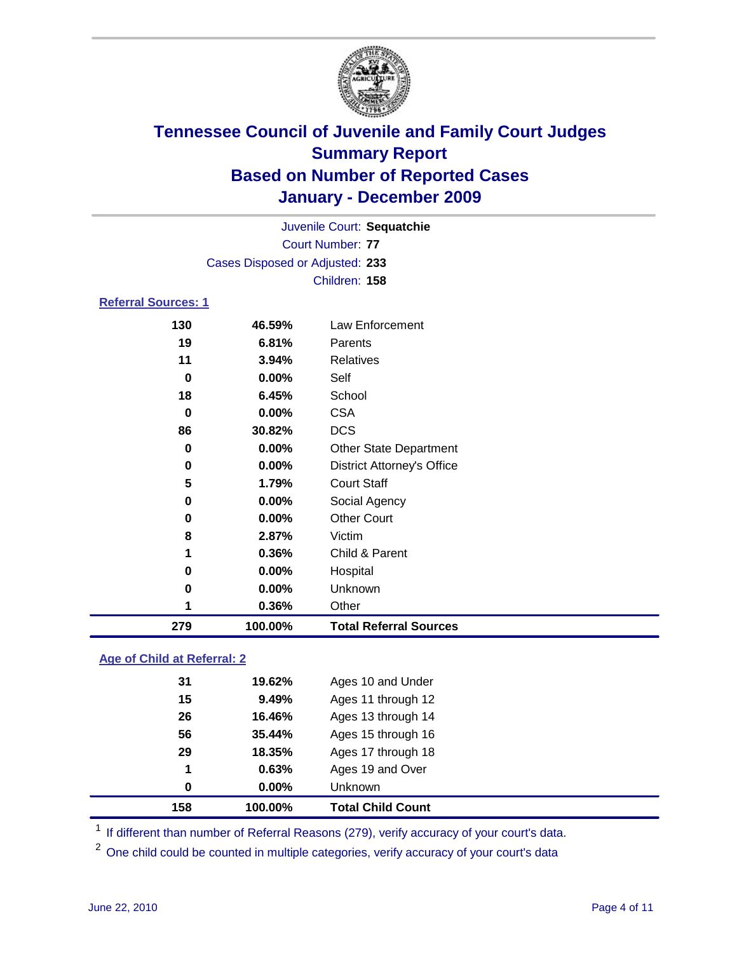

|                                 |          | Juvenile Court: Sequatchie        |  |  |  |
|---------------------------------|----------|-----------------------------------|--|--|--|
| <b>Court Number: 77</b>         |          |                                   |  |  |  |
| Cases Disposed or Adjusted: 233 |          |                                   |  |  |  |
|                                 |          | Children: 158                     |  |  |  |
| Referral Sources: 1             |          |                                   |  |  |  |
| 130                             | 46.59%   | Law Enforcement                   |  |  |  |
| 19                              | 6.81%    | Parents                           |  |  |  |
| 11                              | 3.94%    | Relatives                         |  |  |  |
| $\bf{0}$                        | 0.00%    | Self                              |  |  |  |
| 18                              | 6.45%    | School                            |  |  |  |
| 0                               | 0.00%    | <b>CSA</b>                        |  |  |  |
| 86                              | 30.82%   | <b>DCS</b>                        |  |  |  |
| 0                               | 0.00%    | <b>Other State Department</b>     |  |  |  |
| 0                               | 0.00%    | <b>District Attorney's Office</b> |  |  |  |
| 5                               | 1.79%    | <b>Court Staff</b>                |  |  |  |
| 0                               | 0.00%    | Social Agency                     |  |  |  |
| 0                               | 0.00%    | <b>Other Court</b>                |  |  |  |
| 8                               | 2.87%    | Victim                            |  |  |  |
| 1                               | 0.36%    | Child & Parent                    |  |  |  |
| 0                               | 0.00%    | Hospital                          |  |  |  |
| 0                               | $0.00\%$ | Unknown                           |  |  |  |

### **Age of Child at Referral: 2**

| 158 | 100.00% | <b>Total Child Count</b> |
|-----|---------|--------------------------|
| 0   | 0.00%   | Unknown                  |
| 1   | 0.63%   | Ages 19 and Over         |
| 29  | 18.35%  | Ages 17 through 18       |
| 56  | 35.44%  | Ages 15 through 16       |
| 26  | 16.46%  | Ages 13 through 14       |
| 15  | 9.49%   | Ages 11 through 12       |
| 31  | 19.62%  | Ages 10 and Under        |
|     |         |                          |

<sup>1</sup> If different than number of Referral Reasons (279), verify accuracy of your court's data.

**0.36%** Other

**100.00% Total Referral Sources**

<sup>2</sup> One child could be counted in multiple categories, verify accuracy of your court's data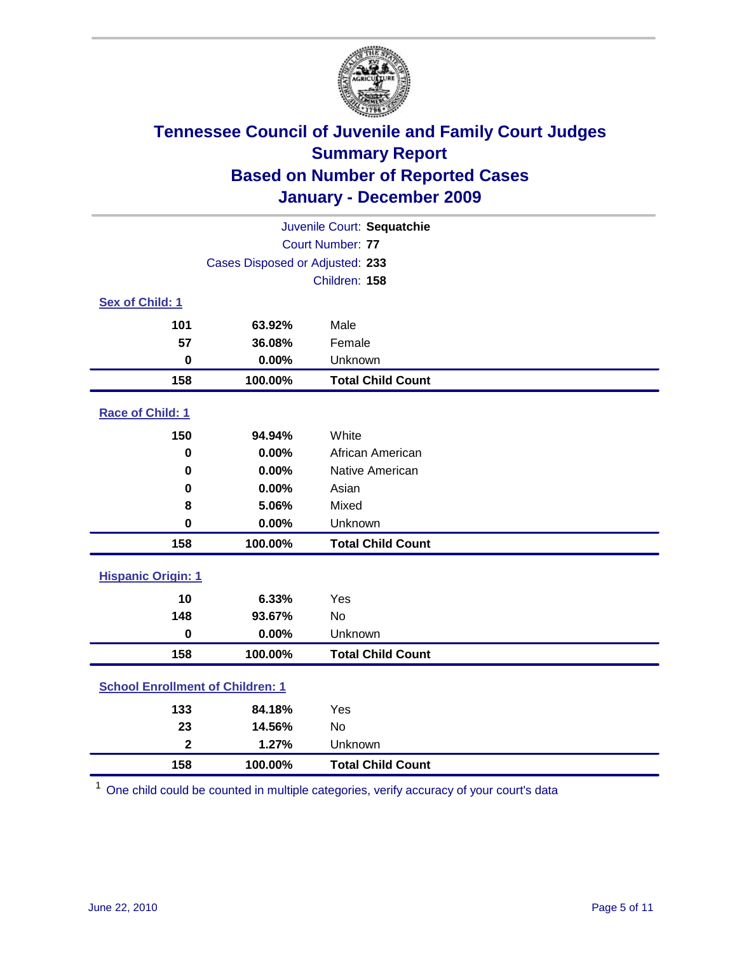

| Juvenile Court: Sequatchie |                                         |                          |  |  |
|----------------------------|-----------------------------------------|--------------------------|--|--|
| Court Number: 77           |                                         |                          |  |  |
|                            | Cases Disposed or Adjusted: 233         |                          |  |  |
|                            |                                         | Children: 158            |  |  |
| Sex of Child: 1            |                                         |                          |  |  |
| 101                        | 63.92%                                  | Male                     |  |  |
| 57                         | 36.08%                                  | Female                   |  |  |
| $\mathbf 0$                | 0.00%                                   | Unknown                  |  |  |
| 158                        | 100.00%                                 | <b>Total Child Count</b> |  |  |
| Race of Child: 1           |                                         |                          |  |  |
| 150                        | 94.94%                                  | White                    |  |  |
| $\mathbf 0$                | 0.00%                                   | African American         |  |  |
| 0                          | 0.00%                                   | Native American          |  |  |
| $\mathbf 0$                | 0.00%                                   | Asian                    |  |  |
| 8                          | 5.06%                                   | Mixed                    |  |  |
| $\mathbf 0$                | 0.00%                                   | Unknown                  |  |  |
| 158                        | 100.00%                                 | <b>Total Child Count</b> |  |  |
| <b>Hispanic Origin: 1</b>  |                                         |                          |  |  |
| 10                         | 6.33%                                   | Yes                      |  |  |
| 148                        | 93.67%                                  | <b>No</b>                |  |  |
| $\mathbf 0$                | 0.00%                                   | Unknown                  |  |  |
| 158                        | 100.00%                                 | <b>Total Child Count</b> |  |  |
|                            | <b>School Enrollment of Children: 1</b> |                          |  |  |
| 133                        | 84.18%                                  | Yes                      |  |  |
| 23                         | 14.56%                                  | No                       |  |  |
| $\overline{\mathbf{2}}$    | 1.27%                                   | Unknown                  |  |  |
| 158                        | 100.00%                                 | <b>Total Child Count</b> |  |  |

One child could be counted in multiple categories, verify accuracy of your court's data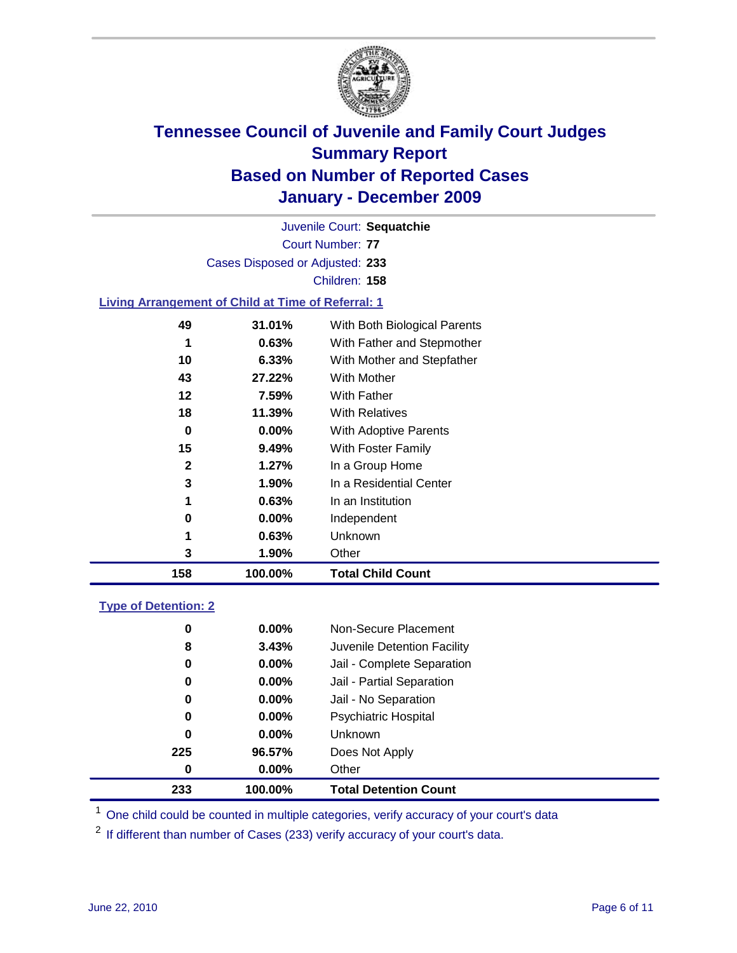

Court Number: **77** Juvenile Court: **Sequatchie** Cases Disposed or Adjusted: **233** Children: **158**

#### **Living Arrangement of Child at Time of Referral: 1**

| 158 | 100.00%  | <b>Total Child Count</b>     |
|-----|----------|------------------------------|
| 3   | 1.90%    | Other                        |
| 1   | 0.63%    | Unknown                      |
| 0   | $0.00\%$ | Independent                  |
| 1   | 0.63%    | In an Institution            |
| 3   | 1.90%    | In a Residential Center      |
| 2   | $1.27\%$ | In a Group Home              |
| 15  | 9.49%    | With Foster Family           |
| 0   | 0.00%    | With Adoptive Parents        |
| 18  | 11.39%   | <b>With Relatives</b>        |
| 12  | 7.59%    | <b>With Father</b>           |
| 43  | 27.22%   | With Mother                  |
| 10  | 6.33%    | With Mother and Stepfather   |
|     | 0.63%    | With Father and Stepmother   |
| 49  | 31.01%   | With Both Biological Parents |
|     |          |                              |

### **Type of Detention: 2**

| 233 | 100.00%  | <b>Total Detention Count</b> |  |
|-----|----------|------------------------------|--|
| 0   | $0.00\%$ | Other                        |  |
| 225 | 96.57%   | Does Not Apply               |  |
| 0   | $0.00\%$ | <b>Unknown</b>               |  |
| 0   | 0.00%    | <b>Psychiatric Hospital</b>  |  |
| 0   | 0.00%    | Jail - No Separation         |  |
| 0   | $0.00\%$ | Jail - Partial Separation    |  |
| 0   | $0.00\%$ | Jail - Complete Separation   |  |
| 8   | 3.43%    | Juvenile Detention Facility  |  |
| 0   | $0.00\%$ | Non-Secure Placement         |  |
|     |          |                              |  |

<sup>1</sup> One child could be counted in multiple categories, verify accuracy of your court's data

<sup>2</sup> If different than number of Cases (233) verify accuracy of your court's data.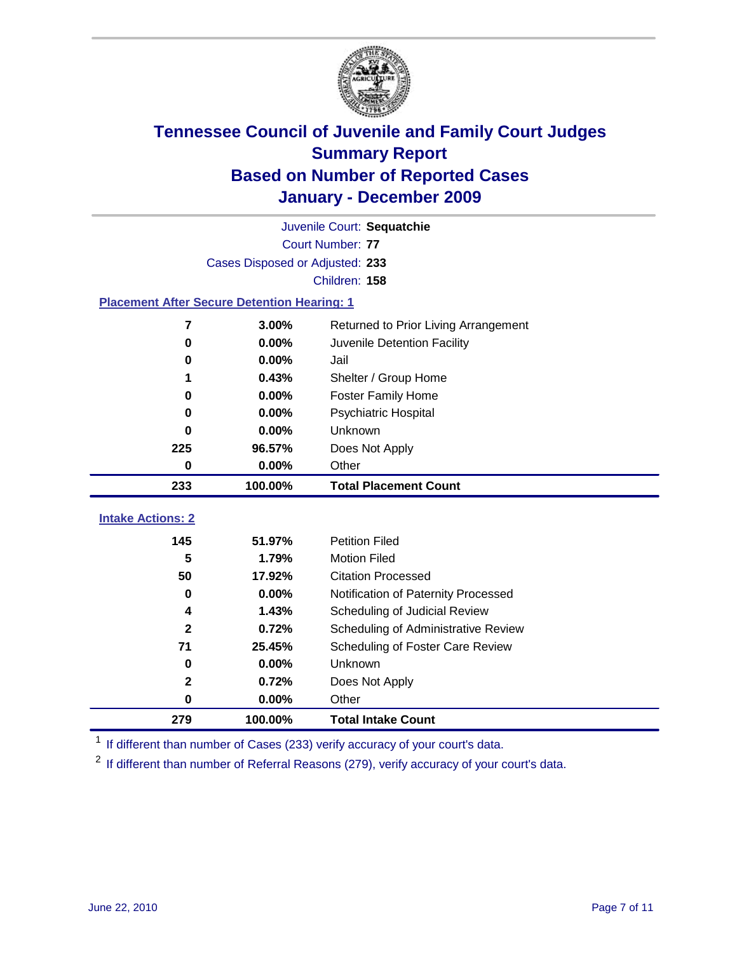

| Juvenile Court: Sequatchie      |                                                    |                                      |  |  |  |  |
|---------------------------------|----------------------------------------------------|--------------------------------------|--|--|--|--|
|                                 | <b>Court Number: 77</b>                            |                                      |  |  |  |  |
| Cases Disposed or Adjusted: 233 |                                                    |                                      |  |  |  |  |
|                                 | Children: 158                                      |                                      |  |  |  |  |
|                                 | <b>Placement After Secure Detention Hearing: 1</b> |                                      |  |  |  |  |
| $\overline{7}$                  | 3.00%                                              | Returned to Prior Living Arrangement |  |  |  |  |
| $\bf{0}$                        | 0.00%                                              | Juvenile Detention Facility          |  |  |  |  |
| $\bf{0}$                        | 0.00%                                              | Jail                                 |  |  |  |  |
| 1                               | 0.43%                                              | Shelter / Group Home                 |  |  |  |  |
| $\bf{0}$                        | 0.00%                                              | <b>Foster Family Home</b>            |  |  |  |  |
| 0                               | 0.00%                                              | Psychiatric Hospital                 |  |  |  |  |
| 0                               | 0.00%                                              | Unknown                              |  |  |  |  |
| 225                             | 96.57%                                             | Does Not Apply                       |  |  |  |  |
| $\mathbf 0$                     | 0.00%                                              | Other                                |  |  |  |  |
| 233                             | 100.00%                                            | <b>Total Placement Count</b>         |  |  |  |  |
|                                 |                                                    |                                      |  |  |  |  |
|                                 |                                                    |                                      |  |  |  |  |
| <b>Intake Actions: 2</b><br>145 | 51.97%                                             | <b>Petition Filed</b>                |  |  |  |  |
| 5                               | 1.79%                                              | <b>Motion Filed</b>                  |  |  |  |  |
| 50                              | 17.92%                                             | <b>Citation Processed</b>            |  |  |  |  |
| $\bf{0}$                        | 0.00%                                              | Notification of Paternity Processed  |  |  |  |  |
| 4                               | 1.43%                                              | Scheduling of Judicial Review        |  |  |  |  |
| $\mathbf{2}$                    | 0.72%                                              | Scheduling of Administrative Review  |  |  |  |  |
| 71                              | 25.45%                                             | Scheduling of Foster Care Review     |  |  |  |  |
| $\mathbf 0$                     | 0.00%                                              | Unknown                              |  |  |  |  |
| $\mathbf{2}$                    | 0.72%                                              | Does Not Apply                       |  |  |  |  |
| $\mathbf 0$                     | 0.00%                                              | Other                                |  |  |  |  |

<sup>1</sup> If different than number of Cases (233) verify accuracy of your court's data.

<sup>2</sup> If different than number of Referral Reasons (279), verify accuracy of your court's data.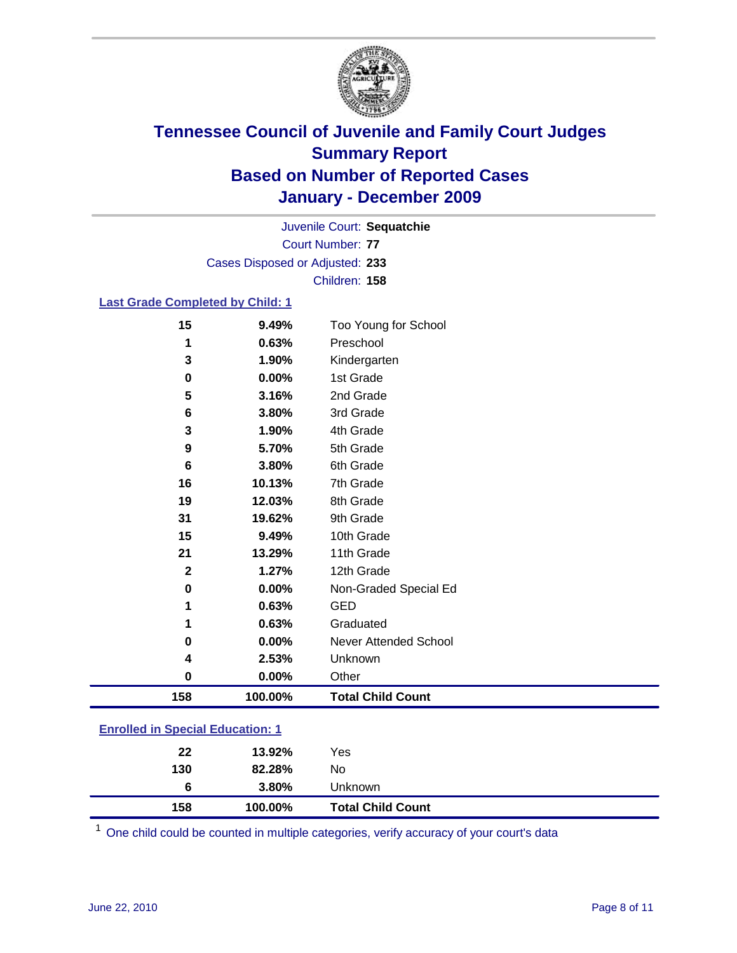

Court Number: **77** Juvenile Court: **Sequatchie** Cases Disposed or Adjusted: **233** Children: **158**

#### **Last Grade Completed by Child: 1**

| 15                                      | 9.49%   | Too Young for School         |
|-----------------------------------------|---------|------------------------------|
| 1                                       | 0.63%   | Preschool                    |
| 3                                       | 1.90%   | Kindergarten                 |
| 0                                       | 0.00%   | 1st Grade                    |
| 5                                       | 3.16%   | 2nd Grade                    |
| 6                                       | 3.80%   | 3rd Grade                    |
| 3                                       | 1.90%   | 4th Grade                    |
| 9                                       | 5.70%   | 5th Grade                    |
| 6                                       | 3.80%   | 6th Grade                    |
| 16                                      | 10.13%  | 7th Grade                    |
| 19                                      | 12.03%  | 8th Grade                    |
| 31                                      | 19.62%  | 9th Grade                    |
| 15                                      | 9.49%   | 10th Grade                   |
| 21                                      | 13.29%  | 11th Grade                   |
| $\mathbf 2$                             | 1.27%   | 12th Grade                   |
| 0                                       | 0.00%   | Non-Graded Special Ed        |
| 1                                       | 0.63%   | <b>GED</b>                   |
| 1                                       | 0.63%   | Graduated                    |
| 0                                       | 0.00%   | <b>Never Attended School</b> |
| 4                                       | 2.53%   | Unknown                      |
| 0                                       | 0.00%   | Other                        |
| 158                                     | 100.00% | <b>Total Child Count</b>     |
| <b>Enrolled in Special Education: 1</b> |         |                              |

| 158                                   | 100.00% | <b>Total Child Count</b> |  |  |
|---------------------------------------|---------|--------------------------|--|--|
| 6                                     | 3.80%   | Unknown                  |  |  |
| 130                                   | 82.28%  | No                       |  |  |
| 22                                    | 13.92%  | Yes                      |  |  |
| $\mathbf{r}$ only a  opposite example |         |                          |  |  |

One child could be counted in multiple categories, verify accuracy of your court's data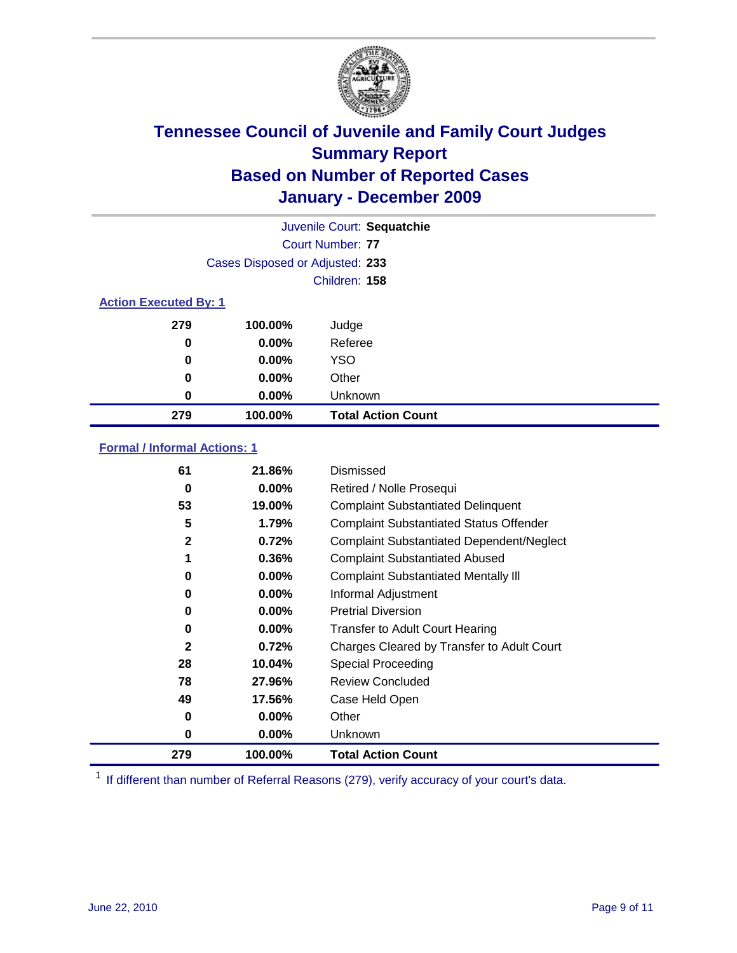

| Juvenile Court: Sequatchie |                                 |                           |  |  |  |
|----------------------------|---------------------------------|---------------------------|--|--|--|
|                            | Court Number: 77                |                           |  |  |  |
|                            | Cases Disposed or Adjusted: 233 |                           |  |  |  |
|                            | Children: 158                   |                           |  |  |  |
|                            | <b>Action Executed By: 1</b>    |                           |  |  |  |
| 279                        | 100.00%                         | Judge                     |  |  |  |
| 0                          | $0.00\%$                        | Referee                   |  |  |  |
| 0                          | $0.00\%$                        | <b>YSO</b>                |  |  |  |
| 0                          | $0.00\%$                        | Other                     |  |  |  |
| 0                          | 0.00%                           | Unknown                   |  |  |  |
| 279                        | 100.00%                         | <b>Total Action Count</b> |  |  |  |

### **Formal / Informal Actions: 1**

| 61           | 21.86%   | Dismissed                                        |
|--------------|----------|--------------------------------------------------|
| 0            | $0.00\%$ | Retired / Nolle Prosequi                         |
| 53           | 19.00%   | <b>Complaint Substantiated Delinquent</b>        |
| 5            | 1.79%    | <b>Complaint Substantiated Status Offender</b>   |
| $\mathbf{2}$ | 0.72%    | <b>Complaint Substantiated Dependent/Neglect</b> |
|              | 0.36%    | <b>Complaint Substantiated Abused</b>            |
| 0            | $0.00\%$ | <b>Complaint Substantiated Mentally III</b>      |
| 0            | $0.00\%$ | Informal Adjustment                              |
| 0            | $0.00\%$ | <b>Pretrial Diversion</b>                        |
| 0            | $0.00\%$ | <b>Transfer to Adult Court Hearing</b>           |
| $\mathbf{2}$ | 0.72%    | Charges Cleared by Transfer to Adult Court       |
| 28           | 10.04%   | Special Proceeding                               |
| 78           | 27.96%   | <b>Review Concluded</b>                          |
| 49           | 17.56%   | Case Held Open                                   |
| 0            | $0.00\%$ | Other                                            |
| 0            | $0.00\%$ | Unknown                                          |
| 279          | 100.00%  | <b>Total Action Count</b>                        |

<sup>1</sup> If different than number of Referral Reasons (279), verify accuracy of your court's data.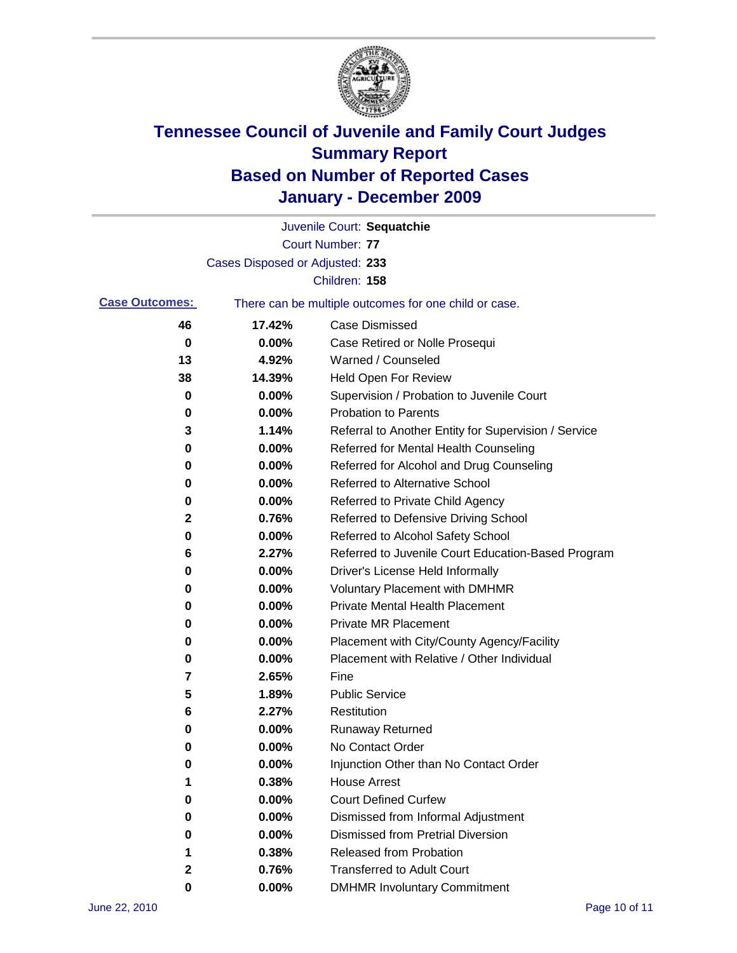

|                       |                                 | Juvenile Court: Sequatchie                            |
|-----------------------|---------------------------------|-------------------------------------------------------|
|                       |                                 | <b>Court Number: 77</b>                               |
|                       | Cases Disposed or Adjusted: 233 |                                                       |
|                       |                                 | Children: 158                                         |
| <b>Case Outcomes:</b> |                                 | There can be multiple outcomes for one child or case. |
| 46                    | 17.42%                          | <b>Case Dismissed</b>                                 |
| 0                     | 0.00%                           | Case Retired or Nolle Prosequi                        |
| 13                    | 4.92%                           | Warned / Counseled                                    |
| 38                    | 14.39%                          | Held Open For Review                                  |
| 0                     | 0.00%                           | Supervision / Probation to Juvenile Court             |
| 0                     | 0.00%                           | <b>Probation to Parents</b>                           |
| 3                     | 1.14%                           | Referral to Another Entity for Supervision / Service  |
| 0                     | 0.00%                           | Referred for Mental Health Counseling                 |
| 0                     | 0.00%                           | Referred for Alcohol and Drug Counseling              |
| 0                     | 0.00%                           | Referred to Alternative School                        |
| 0                     | 0.00%                           | Referred to Private Child Agency                      |
| 2                     | 0.76%                           | Referred to Defensive Driving School                  |
| 0                     | 0.00%                           | Referred to Alcohol Safety School                     |
| 6                     | 2.27%                           | Referred to Juvenile Court Education-Based Program    |
| 0                     | 0.00%                           | Driver's License Held Informally                      |
| 0                     | 0.00%                           | <b>Voluntary Placement with DMHMR</b>                 |
| 0                     | 0.00%                           | Private Mental Health Placement                       |
| 0                     | 0.00%                           | <b>Private MR Placement</b>                           |
| 0                     | 0.00%                           | Placement with City/County Agency/Facility            |
| 0                     | 0.00%                           | Placement with Relative / Other Individual            |
| 7                     | 2.65%                           | Fine                                                  |
| 5                     | 1.89%                           | <b>Public Service</b>                                 |
| 6                     | 2.27%                           | Restitution                                           |
| 0                     | 0.00%                           | <b>Runaway Returned</b>                               |
| 0                     | 0.00%                           | No Contact Order                                      |
| 0                     | 0.00%                           | Injunction Other than No Contact Order                |
|                       | 0.38%                           | <b>House Arrest</b>                                   |
| 0                     | $0.00\%$                        | <b>Court Defined Curfew</b>                           |
| 0                     | $0.00\%$                        | Dismissed from Informal Adjustment                    |
| 0                     | $0.00\%$                        | <b>Dismissed from Pretrial Diversion</b>              |
| 1                     | 0.38%                           | Released from Probation                               |
| 2                     | 0.76%                           | <b>Transferred to Adult Court</b>                     |
| 0                     | $0.00\%$                        | <b>DMHMR Involuntary Commitment</b>                   |